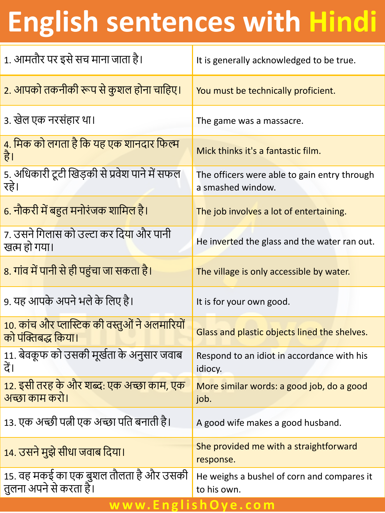## **English sentences with Hindi**

| 1. आमतौर पर इसे सच माना जाता है।                                            | It is generally acknowledged to be true.                          |
|-----------------------------------------------------------------------------|-------------------------------------------------------------------|
| 2. आपको तकनीकी रूप से कुशल होना चाहिए।                                      | You must be technically proficient.                               |
| ३. खेल एक नरसंहार था।                                                       | The game was a massacre.                                          |
| 4. मिक को लगता है कि यह एक शानदार फिल्म<br>है।                              | Mick thinks it's a fantastic film.                                |
| 5. अधिकारी टूटी खिड़की से प्रवेश पाने में सफल<br>रहे।                       | The officers were able to gain entry through<br>a smashed window. |
| 6. नौकरी में बहुत मनोरंजक शामिल है।                                         | The job involves a lot of entertaining.                           |
| 7. उसने गिलास को उल्टा कर दि <mark>या</mark> और पानी<br>खत्म हो गया।        | He inverted the glass and the water ran out.                      |
| 8. गांव में पानी से ही पहुंचा जा सकता है।                                   | The village is only accessible by water.                          |
| 9. यह आपके अपने भले के लिए है।                                              | It is for your own good.                                          |
| <u>10. कांच और प्लास्टिक की वस्तुओं ने अलमारियों</u><br>को पंक्तिबद्ध किया। | Glass and plastic objects lined the shelves.                      |
| 11. बेवकूफ को उसकी मूर्खता के अनुसार जवाब<br>दैं।                           | Respond to an idiot in accordance with his<br>idiocy.             |
| 12. इसी तरह के और शब्द: एक अच्छा काम, एक<br>अच्छा काम करो।                  | More similar words: a good job, do a good<br>job.                 |
| 13. एक अच्छी पत्नी एक अच्छा पति बनाती है।                                   | A good wife makes a good husband.                                 |
| 14. उसने मुझे सीधा जवाब दिया।                                               | She provided me with a straightforward<br>response.               |
| 15. वह मकई का एक बुशल तौलता है और उसकी<br>तुलना अपने से करता हैं।           | He weighs a bushel of corn and compares it<br>to his own.         |

**w w w. E n g l i s h O y e . c o m**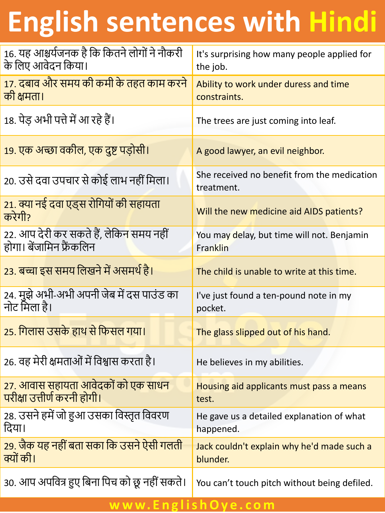## **English sentences with Hindi**

| 16. यह आश्चर्यजनक है कि कितने लोगों ने नौकरी<br>के लिए आवेदन किया।  | It's surprising how many people applied for<br>the job.   |
|---------------------------------------------------------------------|-----------------------------------------------------------|
| 17. दबाव और समय की कमी के तहत काम करने<br>की क्षमता।                | Ability to work under duress and time<br>constraints.     |
| 18. पेड अभी पत्ते में आ रहे हैं।                                    | The trees are just coming into leaf.                      |
| 19. एक अच्छा वकील, एक दुष्ट पड़ोसी।                                 | A good lawyer, an evil neighbor.                          |
| 20. उसे दवा उपचार से कोई लाभ नहीं मिला।                             | She received no benefit from the medication<br>treatment. |
| 21. क्या नई दवा एड्स रोगियों की सहायता<br>करेगी?                    | Will the new medicine aid AIDS patients?                  |
| 22. आप देरी कर सकते हैं, लेकिन समय नहीं<br>होगा। बेंजामिन फ्रैंकलिन | You may delay, but time will not. Benjamin<br>Franklin    |
| 23. बच्चा इस समय लिखने में असमर्थ है।                               | The child is unable to write at this time.                |
| 24. मुझे अभी-अभी अपनी जेब में दस पाउंड का<br>नोट मिला है।           | I've just found a ten-pound note in my<br>pocket.         |
| 25. गिलास उसके हाथ से फिसल गया।                                     | The glass slipped out of his hand.                        |
| 26. वह मेरी क्षमताओं में विश्वास करता है।                           | He believes in my abilities.                              |
| 27. आवास सहायता आवेदकों को एक साधन<br>परीक्षा उत्तीर्ण करनी होगी।   | Housing aid applicants must pass a means<br>test.         |
| 28. उसने हमें जो हुआ उसका विस्तृत विवरण<br>दिया।                    | He gave us a detailed explanation of what<br>happened.    |
| 29. जैक यह नहीं बता सका कि उसने ऐसी गलती<br>क्यों की।               | Jack couldn't explain why he'd made such a<br>blunder.    |
| 30. आप अपवित्र हुए बिना पिच को छू नहीं सकते।                        | You can't touch pitch without being defiled.              |

## **w w w. E n g l i s h O y e . c o m**